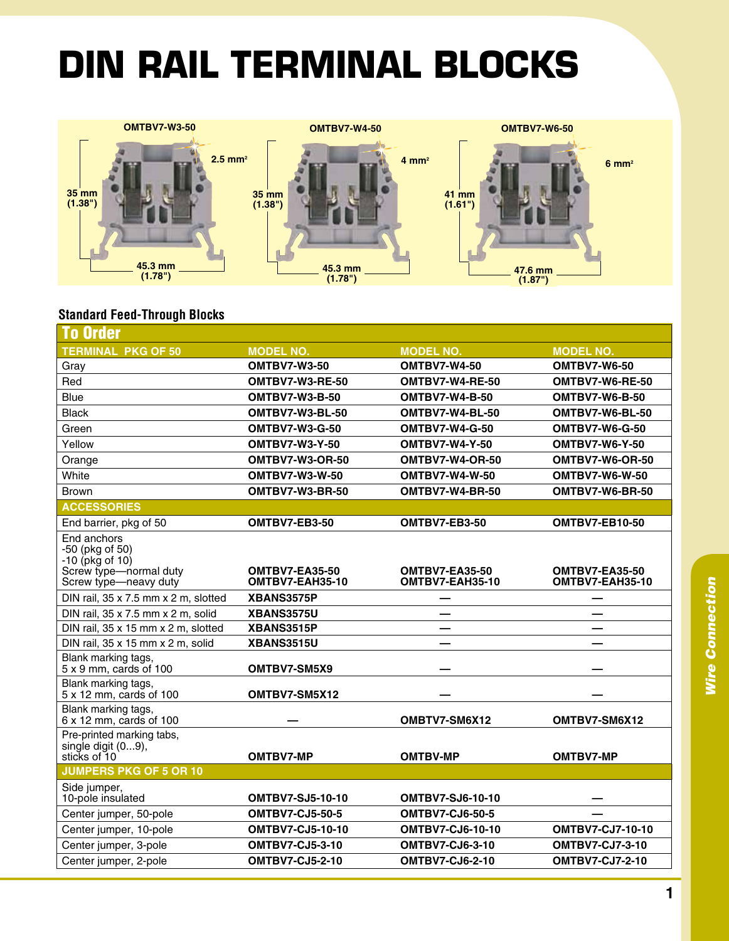## **din rail terminal blocks**



## **Standard Feed-Through Blocks**

| <b>To Order</b>                                                               |                         |                         |                         |  |  |
|-------------------------------------------------------------------------------|-------------------------|-------------------------|-------------------------|--|--|
| <b>TERMINAL PKG OF 50</b>                                                     | <b>MODEL NO.</b>        | <b>MODEL NO.</b>        | <b>MODEL NO.</b>        |  |  |
| Gray                                                                          | <b>OMTBV7-W3-50</b>     | <b>OMTBV7-W4-50</b>     | <b>OMTBV7-W6-50</b>     |  |  |
| Red                                                                           | OMTBV7-W3-RE-50         | OMTBV7-W4-RE-50         | OMTBV7-W6-RE-50         |  |  |
| Blue                                                                          | <b>OMTBV7-W3-B-50</b>   | <b>OMTBV7-W4-B-50</b>   | <b>OMTBV7-W6-B-50</b>   |  |  |
| <b>Black</b>                                                                  | OMTBV7-W3-BL-50         | OMTBV7-W4-BL-50         | OMTBV7-W6-BL-50         |  |  |
| Green                                                                         | <b>OMTBV7-W3-G-50</b>   | <b>OMTBV7-W4-G-50</b>   | <b>OMTBV7-W6-G-50</b>   |  |  |
| Yellow                                                                        | <b>OMTBV7-W3-Y-50</b>   | <b>OMTBV7-W4-Y-50</b>   | <b>OMTBV7-W6-Y-50</b>   |  |  |
| Orange                                                                        | <b>OMTBV7-W3-OR-50</b>  | OMTBV7-W4-OR-50         | OMTBV7-W6-OR-50         |  |  |
| White                                                                         | <b>OMTBV7-W3-W-50</b>   | <b>OMTBV7-W4-W-50</b>   | <b>OMTBV7-W6-W-50</b>   |  |  |
| <b>Brown</b>                                                                  | OMTBV7-W3-BR-50         | OMTBV7-W4-BR-50         | OMTBV7-W6-BR-50         |  |  |
| <b>ACCESSORIES</b>                                                            |                         |                         |                         |  |  |
| End barrier, pkg of 50                                                        | OMTBV7-EB3-50           | OMTBV7-EB3-50           | <b>OMTBV7-EB10-50</b>   |  |  |
| End anchors<br>-50 (pkg of 50)<br>$-10$ (pkg of 10)<br>Screw type-normal duty | OMTBV7-EA35-50          | <b>OMTBV7-EA35-50</b>   | <b>OMTBV7-EA35-50</b>   |  |  |
| Screw type-neavy duty                                                         | OMTBV7-EAH35-10         | OMTBV7-EAH35-10         | OMTBV7-EAH35-10         |  |  |
| DIN rail, 35 x 7.5 mm x 2 m, slotted                                          | XBANS3575P              |                         |                         |  |  |
| DIN rail, 35 x 7.5 mm x 2 m, solid                                            | XBANS3575U              |                         |                         |  |  |
| DIN rail, 35 x 15 mm x 2 m, slotted                                           | XBANS3515P              |                         |                         |  |  |
| DIN rail, 35 x 15 mm x 2 m, solid                                             | <b>XBANS3515U</b>       |                         |                         |  |  |
| Blank marking tags,<br>$5 \times 9$ mm, cards of 100                          | OMTBV7-SM5X9            |                         |                         |  |  |
| Blank marking tags,<br>5 x 12 mm, cards of 100                                | OMTBV7-SM5X12           |                         |                         |  |  |
| Blank marking tags,<br>6 x 12 mm, cards of 100                                |                         | OMBTV7-SM6X12           | OMTBV7-SM6X12           |  |  |
| Pre-printed marking tabs,<br>single digit (09),                               |                         |                         |                         |  |  |
| sticks of 10                                                                  | <b>OMTBV7-MP</b>        | <b>OMTBV-MP</b>         | <b>OMTBV7-MP</b>        |  |  |
| <b>JUMPERS PKG OF 5 OR 10</b>                                                 |                         |                         |                         |  |  |
| Side jumper,<br>10-pole insulated                                             | <b>OMTBV7-SJ5-10-10</b> | <b>OMTBV7-SJ6-10-10</b> |                         |  |  |
| Center jumper, 50-pole                                                        | <b>OMTBV7-CJ5-50-5</b>  | <b>OMTBV7-CJ6-50-5</b>  |                         |  |  |
| Center jumper, 10-pole                                                        | <b>OMTBV7-CJ5-10-10</b> | <b>OMTBV7-CJ6-10-10</b> | <b>OMTBV7-CJ7-10-10</b> |  |  |
| Center jumper, 3-pole                                                         | <b>OMTBV7-CJ5-3-10</b>  | <b>OMTBV7-CJ6-3-10</b>  | <b>OMTBV7-CJ7-3-10</b>  |  |  |
| Center jumper, 2-pole                                                         | <b>OMTBV7-CJ5-2-10</b>  | <b>OMTBV7-CJ6-2-10</b>  | <b>OMTBV7-CJ7-2-10</b>  |  |  |
|                                                                               |                         |                         |                         |  |  |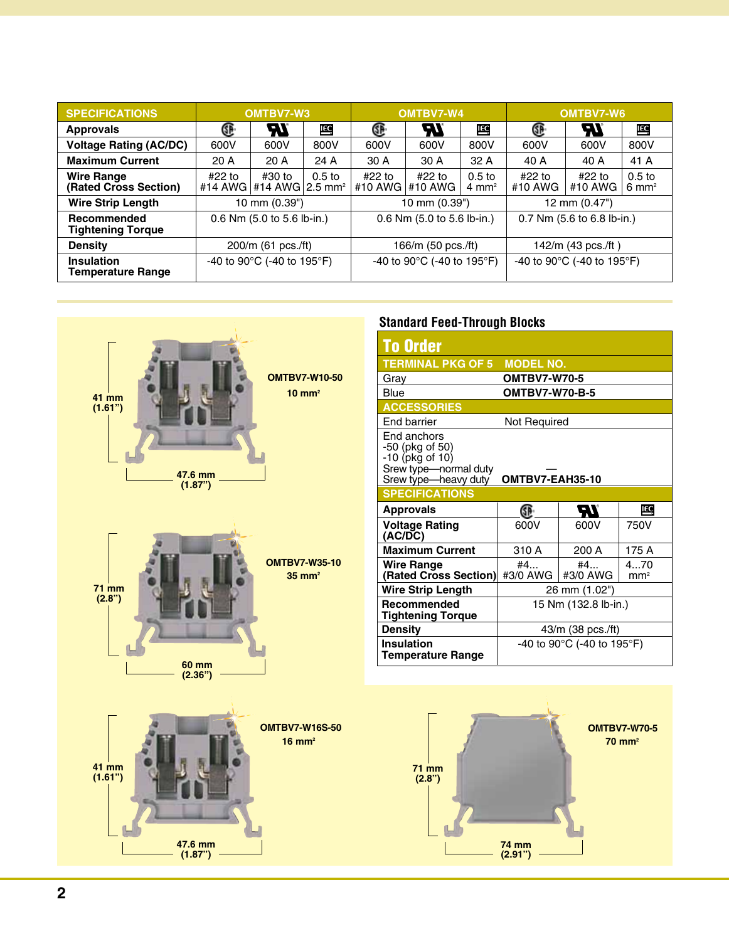| <b>SPECIFICATIONS</b>                         | OMTBV7-W3                  |                                                             |                   | OMTBV7-W4                                        |                            |                                       | OMTBV7-W6                                        |                            |                                       |  |
|-----------------------------------------------|----------------------------|-------------------------------------------------------------|-------------------|--------------------------------------------------|----------------------------|---------------------------------------|--------------------------------------------------|----------------------------|---------------------------------------|--|
| <b>Approvals</b>                              | Œ                          | Ы                                                           | IEC               | Œ                                                | ЧV                         | ĮEC                                   | Œ                                                | 7V                         | <u>IEC</u>                            |  |
| <b>Voltage Rating (AC/DC)</b>                 | 600V                       | 600V                                                        | 800V              | 600V                                             | 600V                       | 800V                                  | 600V                                             | 600V                       | 800V                                  |  |
| <b>Maximum Current</b>                        | 20A                        | 20A                                                         | 24 A              | 30 A                                             | 30 A                       | 32A                                   | 40 A                                             | 40 A                       | 41 A                                  |  |
| <b>Wire Range</b><br>(Rated Cross Section)    | #22 to                     | #30 to<br>#14 AWG $\mid$ #14 AWG $\mid$ 2.5 mm <sup>2</sup> | 0.5 <sub>to</sub> | #22 to<br>#10 AWG #10 AWG                        | #22 to                     | 0.5 <sub>to</sub><br>$4 \text{ mm}^2$ | #22 to<br>#10 AWG                                | $#22$ to<br>#10 AWG        | 0.5 <sub>to</sub><br>$6 \text{ mm}^2$ |  |
| <b>Wire Strip Length</b>                      | 10 mm (0.39")              |                                                             |                   | 10 mm (0.39")                                    |                            |                                       | 12 mm (0.47")                                    |                            |                                       |  |
| Recommended<br><b>Tightening Torque</b>       | 0.6 Nm (5.0 to 5.6 lb-in.) |                                                             |                   |                                                  | 0.6 Nm (5.0 to 5.6 lb-in.) |                                       |                                                  | 0.7 Nm (5.6 to 6.8 lb-in.) |                                       |  |
| <b>Density</b>                                | 200/m (61 pcs./ft)         |                                                             |                   | 166/m (50 pcs./ft)                               |                            |                                       | 142/m (43 pcs./ft)                               |                            |                                       |  |
| <b>Insulation</b><br><b>Temperature Range</b> | -40 to 90°C (-40 to 195°F) |                                                             |                   | -40 to 90 $^{\circ}$ C (-40 to 195 $^{\circ}$ F) |                            |                                       | -40 to 90 $^{\circ}$ C (-40 to 195 $^{\circ}$ F) |                            |                                       |  |



## **Standard Feed-Through Blocks**

| <b>To Order</b>                                                                                    |                            |                |                        |  |  |  |
|----------------------------------------------------------------------------------------------------|----------------------------|----------------|------------------------|--|--|--|
| <b>TERMINAL PKG OF 5</b>                                                                           | <b>MODEL NO.</b>           |                |                        |  |  |  |
| Gray                                                                                               | <b>OMTBV7-W70-5</b>        |                |                        |  |  |  |
| Blue                                                                                               | <b>OMTBV7-W70-B-5</b>      |                |                        |  |  |  |
| <b>ACCESSORIES</b>                                                                                 |                            |                |                        |  |  |  |
| <b>End barrier</b>                                                                                 | Not Required               |                |                        |  |  |  |
| End anchors<br>-50 (pkg of 50)<br>-10 (pkg of 10)<br>Srew type-normal duty<br>Srew type-heavy duty | OMTBV7-EAH35-10            |                |                        |  |  |  |
| <b>SPECIFICATIONS</b>                                                                              |                            |                |                        |  |  |  |
| <b>Approvals</b>                                                                                   | Œ                          | ZТ             | <b>IEC</b>             |  |  |  |
| <b>Voltage Rating</b><br>(AC/DC)                                                                   | 600V                       | 600V           | 750V                   |  |  |  |
| <b>Maximum Current</b>                                                                             | 310 A                      | 200 A          | 175 A                  |  |  |  |
| <b>Wire Range</b><br>(Rated Cross Section)                                                         | #4<br>#3/0 AWG             | #4<br>#3/0 AWG | 470<br>mm <sup>2</sup> |  |  |  |
| <b>Wire Strip Length</b>                                                                           | 26 mm (1.02")              |                |                        |  |  |  |
| Recommended<br>Tightening Torque                                                                   | 15 Nm (132.8 lb-in.)       |                |                        |  |  |  |
| <b>Density</b>                                                                                     | 43/m (38 pcs./ft)          |                |                        |  |  |  |
| <b>Insulation</b>                                                                                  | -40 to 90°C (-40 to 195°F) |                |                        |  |  |  |